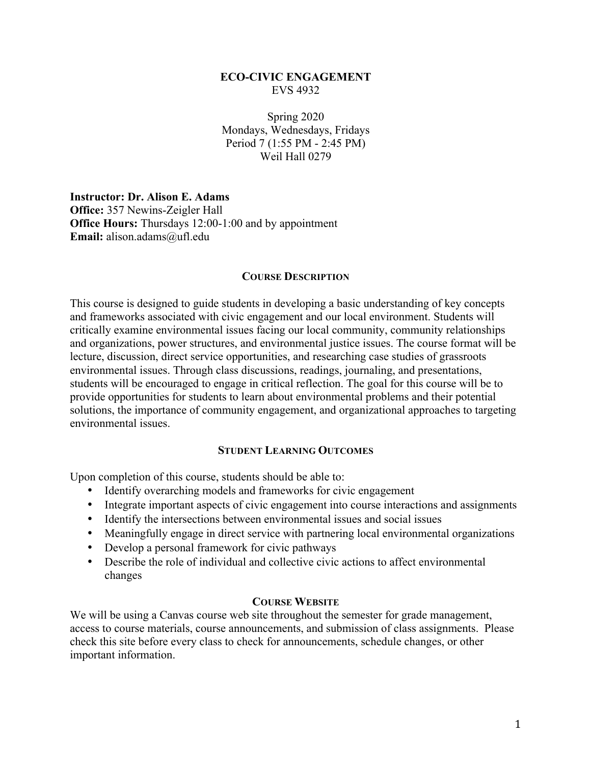# **ECO-CIVIC ENGAGEMENT** EVS 4932

Spring 2020 Mondays, Wednesdays, Fridays Period 7 (1:55 PM - 2:45 PM) Weil Hall 0279

**Instructor: Dr. Alison E. Adams Office:** 357 Newins-Zeigler Hall **Office Hours:** Thursdays 12:00-1:00 and by appointment **Email:** alison.adams@ufl.edu

## **COURSE DESCRIPTION**

This course is designed to guide students in developing a basic understanding of key concepts and frameworks associated with civic engagement and our local environment. Students will critically examine environmental issues facing our local community, community relationships and organizations, power structures, and environmental justice issues. The course format will be lecture, discussion, direct service opportunities, and researching case studies of grassroots environmental issues. Through class discussions, readings, journaling, and presentations, students will be encouraged to engage in critical reflection. The goal for this course will be to provide opportunities for students to learn about environmental problems and their potential solutions, the importance of community engagement, and organizational approaches to targeting environmental issues.

#### **STUDENT LEARNING OUTCOMES**

Upon completion of this course, students should be able to:

- Identify overarching models and frameworks for civic engagement
- Integrate important aspects of civic engagement into course interactions and assignments
- Identify the intersections between environmental issues and social issues
- Meaningfully engage in direct service with partnering local environmental organizations
- Develop a personal framework for civic pathways
- Describe the role of individual and collective civic actions to affect environmental changes

#### **COURSE WEBSITE**

We will be using a Canvas course web site throughout the semester for grade management, access to course materials, course announcements, and submission of class assignments. Please check this site before every class to check for announcements, schedule changes, or other important information.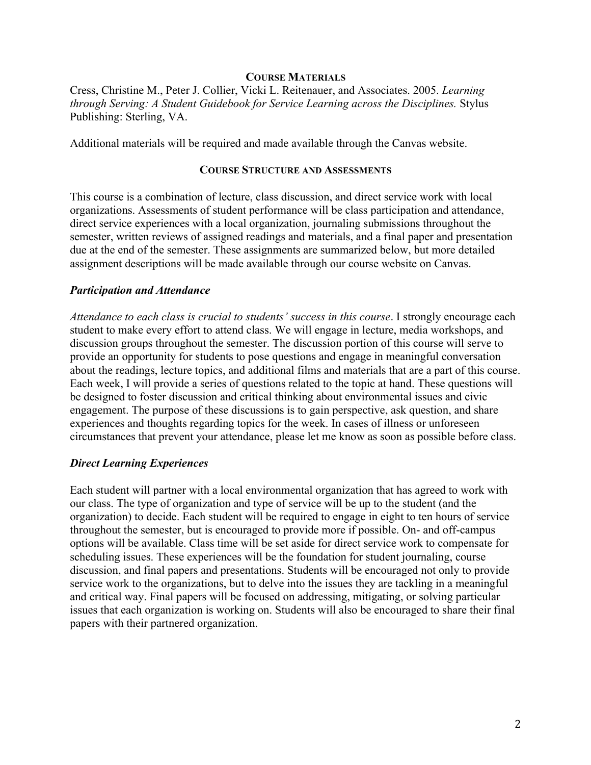### **COURSE MATERIALS**

Cress, Christine M., Peter J. Collier, Vicki L. Reitenauer, and Associates. 2005. *Learning through Serving: A Student Guidebook for Service Learning across the Disciplines.* Stylus Publishing: Sterling, VA.

Additional materials will be required and made available through the Canvas website.

## **COURSE STRUCTURE AND ASSESSMENTS**

This course is a combination of lecture, class discussion, and direct service work with local organizations. Assessments of student performance will be class participation and attendance, direct service experiences with a local organization, journaling submissions throughout the semester, written reviews of assigned readings and materials, and a final paper and presentation due at the end of the semester. These assignments are summarized below, but more detailed assignment descriptions will be made available through our course website on Canvas.

## *Participation and Attendance*

*Attendance to each class is crucial to students' success in this course*. I strongly encourage each student to make every effort to attend class. We will engage in lecture, media workshops, and discussion groups throughout the semester. The discussion portion of this course will serve to provide an opportunity for students to pose questions and engage in meaningful conversation about the readings, lecture topics, and additional films and materials that are a part of this course. Each week, I will provide a series of questions related to the topic at hand. These questions will be designed to foster discussion and critical thinking about environmental issues and civic engagement. The purpose of these discussions is to gain perspective, ask question, and share experiences and thoughts regarding topics for the week. In cases of illness or unforeseen circumstances that prevent your attendance, please let me know as soon as possible before class.

## *Direct Learning Experiences*

Each student will partner with a local environmental organization that has agreed to work with our class. The type of organization and type of service will be up to the student (and the organization) to decide. Each student will be required to engage in eight to ten hours of service throughout the semester, but is encouraged to provide more if possible. On- and off-campus options will be available. Class time will be set aside for direct service work to compensate for scheduling issues. These experiences will be the foundation for student journaling, course discussion, and final papers and presentations. Students will be encouraged not only to provide service work to the organizations, but to delve into the issues they are tackling in a meaningful and critical way. Final papers will be focused on addressing, mitigating, or solving particular issues that each organization is working on. Students will also be encouraged to share their final papers with their partnered organization.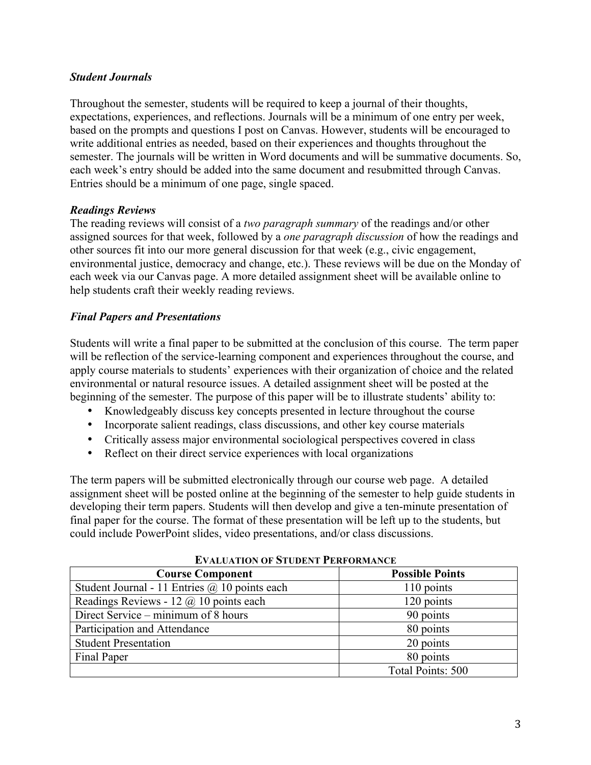# *Student Journals*

Throughout the semester, students will be required to keep a journal of their thoughts, expectations, experiences, and reflections. Journals will be a minimum of one entry per week, based on the prompts and questions I post on Canvas. However, students will be encouraged to write additional entries as needed, based on their experiences and thoughts throughout the semester. The journals will be written in Word documents and will be summative documents. So, each week's entry should be added into the same document and resubmitted through Canvas. Entries should be a minimum of one page, single spaced.

# *Readings Reviews*

The reading reviews will consist of a *two paragraph summary* of the readings and/or other assigned sources for that week, followed by a *one paragraph discussion* of how the readings and other sources fit into our more general discussion for that week (e.g., civic engagement, environmental justice, democracy and change, etc.). These reviews will be due on the Monday of each week via our Canvas page. A more detailed assignment sheet will be available online to help students craft their weekly reading reviews.

# *Final Papers and Presentations*

Students will write a final paper to be submitted at the conclusion of this course. The term paper will be reflection of the service-learning component and experiences throughout the course, and apply course materials to students' experiences with their organization of choice and the related environmental or natural resource issues. A detailed assignment sheet will be posted at the beginning of the semester. The purpose of this paper will be to illustrate students' ability to:

- Knowledgeably discuss key concepts presented in lecture throughout the course
- Incorporate salient readings, class discussions, and other key course materials
- Critically assess major environmental sociological perspectives covered in class
- Reflect on their direct service experiences with local organizations

The term papers will be submitted electronically through our course web page. A detailed assignment sheet will be posted online at the beginning of the semester to help guide students in developing their term papers. Students will then develop and give a ten-minute presentation of final paper for the course. The format of these presentation will be left up to the students, but could include PowerPoint slides, video presentations, and/or class discussions.

| L'ALUATION OF STUDENT I ENFONMANCE                   |                        |  |
|------------------------------------------------------|------------------------|--|
| <b>Course Component</b>                              | <b>Possible Points</b> |  |
| Student Journal - 11 Entries $\omega$ 10 points each | 110 points             |  |
| Readings Reviews - 12 $\omega$ 10 points each        | 120 points             |  |
| Direct Service – minimum of 8 hours                  | 90 points              |  |
| Participation and Attendance                         | 80 points              |  |
| <b>Student Presentation</b>                          | 20 points              |  |
| Final Paper                                          | 80 points              |  |
|                                                      | Total Points: 500      |  |

| <b>EVALUATION OF STUDENT PERFORMANCE</b> |
|------------------------------------------|
|                                          |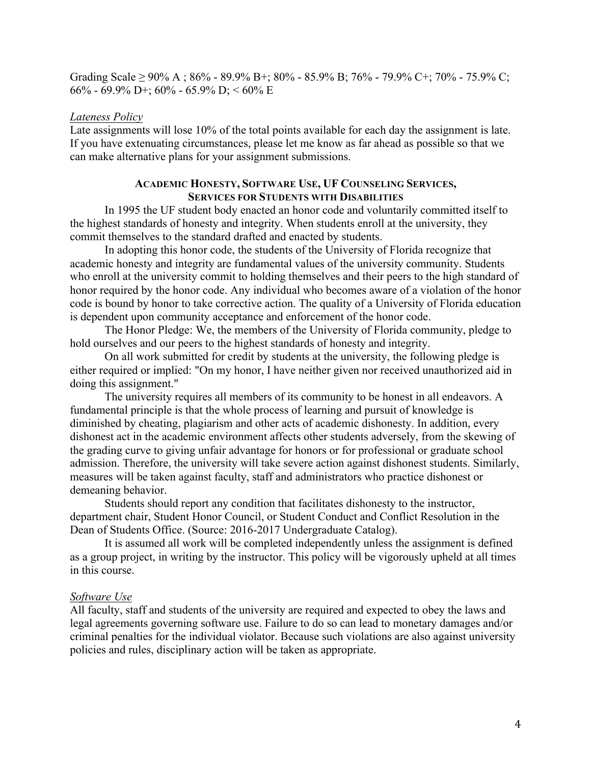Grading Scale  $\geq$  90% A; 86% - 89.9% B+; 80% - 85.9% B; 76% - 79.9% C+; 70% - 75.9% C; 66% - 69.9% D+; 60% - 65.9% D; < 60% E

### *Lateness Policy*

Late assignments will lose 10% of the total points available for each day the assignment is late. If you have extenuating circumstances, please let me know as far ahead as possible so that we can make alternative plans for your assignment submissions.

### **ACADEMIC HONESTY, SOFTWARE USE, UF COUNSELING SERVICES, SERVICES FOR STUDENTS WITH DISABILITIES**

In 1995 the UF student body enacted an honor code and voluntarily committed itself to the highest standards of honesty and integrity. When students enroll at the university, they commit themselves to the standard drafted and enacted by students.

In adopting this honor code, the students of the University of Florida recognize that academic honesty and integrity are fundamental values of the university community. Students who enroll at the university commit to holding themselves and their peers to the high standard of honor required by the honor code. Any individual who becomes aware of a violation of the honor code is bound by honor to take corrective action. The quality of a University of Florida education is dependent upon community acceptance and enforcement of the honor code.

The Honor Pledge: We, the members of the University of Florida community, pledge to hold ourselves and our peers to the highest standards of honesty and integrity.

On all work submitted for credit by students at the university, the following pledge is either required or implied: "On my honor, I have neither given nor received unauthorized aid in doing this assignment."

The university requires all members of its community to be honest in all endeavors. A fundamental principle is that the whole process of learning and pursuit of knowledge is diminished by cheating, plagiarism and other acts of academic dishonesty. In addition, every dishonest act in the academic environment affects other students adversely, from the skewing of the grading curve to giving unfair advantage for honors or for professional or graduate school admission. Therefore, the university will take severe action against dishonest students. Similarly, measures will be taken against faculty, staff and administrators who practice dishonest or demeaning behavior.

Students should report any condition that facilitates dishonesty to the instructor, department chair, Student Honor Council, or Student Conduct and Conflict Resolution in the Dean of Students Office. (Source: 2016-2017 Undergraduate Catalog).

It is assumed all work will be completed independently unless the assignment is defined as a group project, in writing by the instructor. This policy will be vigorously upheld at all times in this course.

#### *Software Use*

All faculty, staff and students of the university are required and expected to obey the laws and legal agreements governing software use. Failure to do so can lead to monetary damages and/or criminal penalties for the individual violator. Because such violations are also against university policies and rules, disciplinary action will be taken as appropriate.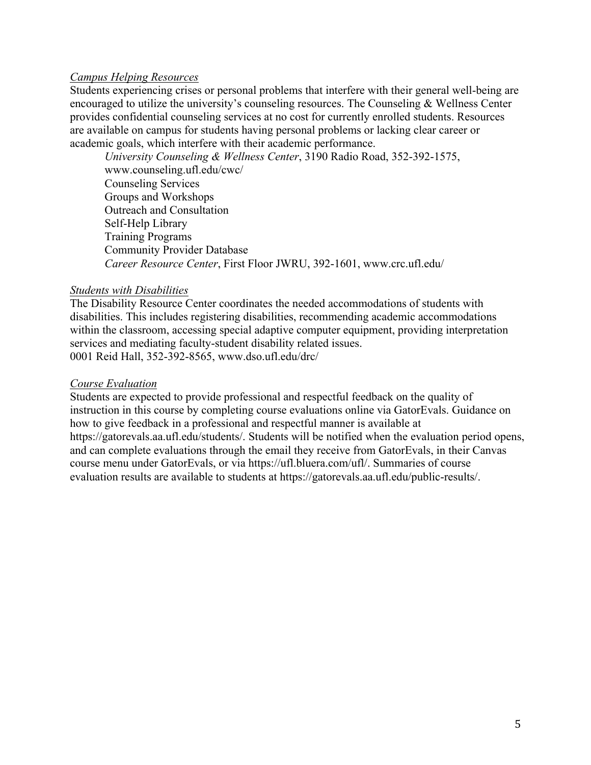# *Campus Helping Resources*

Students experiencing crises or personal problems that interfere with their general well-being are encouraged to utilize the university's counseling resources. The Counseling & Wellness Center provides confidential counseling services at no cost for currently enrolled students. Resources are available on campus for students having personal problems or lacking clear career or academic goals, which interfere with their academic performance.

*University Counseling & Wellness Center*, 3190 Radio Road, 352-392-1575, www.counseling.ufl.edu/cwc/ Counseling Services Groups and Workshops Outreach and Consultation Self-Help Library Training Programs Community Provider Database *Career Resource Center*, First Floor JWRU, 392-1601, www.crc.ufl.edu/

## *Students with Disabilities*

The Disability Resource Center coordinates the needed accommodations of students with disabilities. This includes registering disabilities, recommending academic accommodations within the classroom, accessing special adaptive computer equipment, providing interpretation services and mediating faculty-student disability related issues. 0001 Reid Hall, 352-392-8565, www.dso.ufl.edu/drc/

### *Course Evaluation*

Students are expected to provide professional and respectful feedback on the quality of instruction in this course by completing course evaluations online via GatorEvals. Guidance on how to give feedback in a professional and respectful manner is available at https://gatorevals.aa.ufl.edu/students/. Students will be notified when the evaluation period opens, and can complete evaluations through the email they receive from GatorEvals, in their Canvas course menu under GatorEvals, or via https://ufl.bluera.com/ufl/. Summaries of course evaluation results are available to students at https://gatorevals.aa.ufl.edu/public-results/.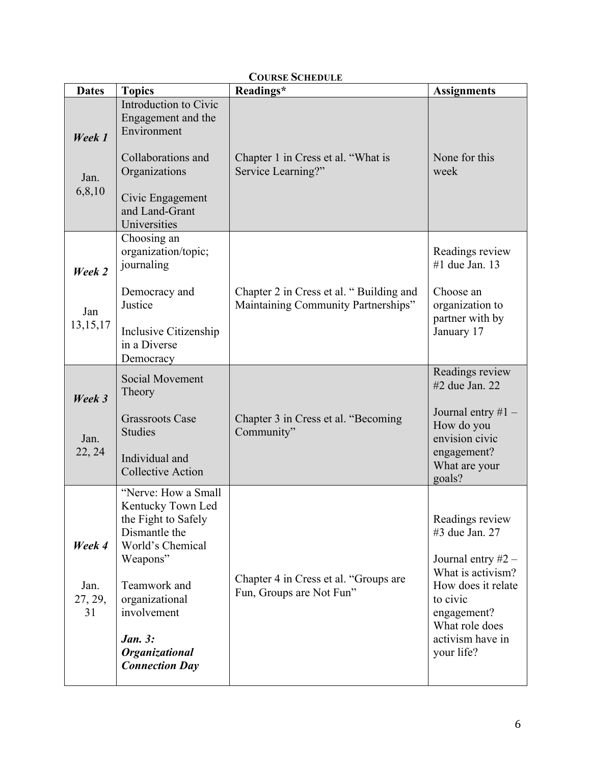| <b>Dates</b>                    | <b>Topics</b>                                                                                                                                                                                                                  | COURSE SCHEDULE<br>Readings*                                                   | <b>Assignments</b>                                                                                                                                                                  |
|---------------------------------|--------------------------------------------------------------------------------------------------------------------------------------------------------------------------------------------------------------------------------|--------------------------------------------------------------------------------|-------------------------------------------------------------------------------------------------------------------------------------------------------------------------------------|
| Week 1<br>Jan.<br>6,8,10        | Introduction to Civic<br>Engagement and the<br>Environment<br>Collaborations and<br>Organizations<br>Civic Engagement<br>and Land-Grant<br>Universities                                                                        | Chapter 1 in Cress et al. "What is<br>Service Learning?"                       | None for this<br>week                                                                                                                                                               |
| Week 2<br>Jan<br>13,15,17       | Choosing an<br>organization/topic;<br>journaling<br>Democracy and<br>Justice<br>Inclusive Citizenship<br>in a Diverse<br>Democracy                                                                                             | Chapter 2 in Cress et al. "Building and<br>Maintaining Community Partnerships" | Readings review<br>#1 due Jan. $13$<br>Choose an<br>organization to<br>partner with by<br>January 17                                                                                |
| Week 3<br>Jan.<br>22, 24        | Social Movement<br>Theory<br><b>Grassroots Case</b><br><b>Studies</b><br>Individual and<br><b>Collective Action</b>                                                                                                            | Chapter 3 in Cress et al. "Becoming<br>Community"                              | Readings review<br>#2 due Jan. 22<br>Journal entry $#1 -$<br>How do you<br>envision civic<br>engagement?<br>What are your<br>goals?                                                 |
| Week 4<br>Jan.<br>27, 29,<br>31 | "Nerve: How a Small<br>Kentucky Town Led<br>the Fight to Safely<br>Dismantle the<br>World's Chemical<br>Weapons"<br>Teamwork and<br>organizational<br>involvement<br><b>Jan. 3:</b><br>Organizational<br><b>Connection Day</b> | Chapter 4 in Cress et al. "Groups are<br>Fun, Groups are Not Fun"              | Readings review<br>#3 due Jan. 27<br>Journal entry $#2 -$<br>What is activism?<br>How does it relate<br>to civic<br>engagement?<br>What role does<br>activism have in<br>your life? |

# **COURSE SCHEDULE**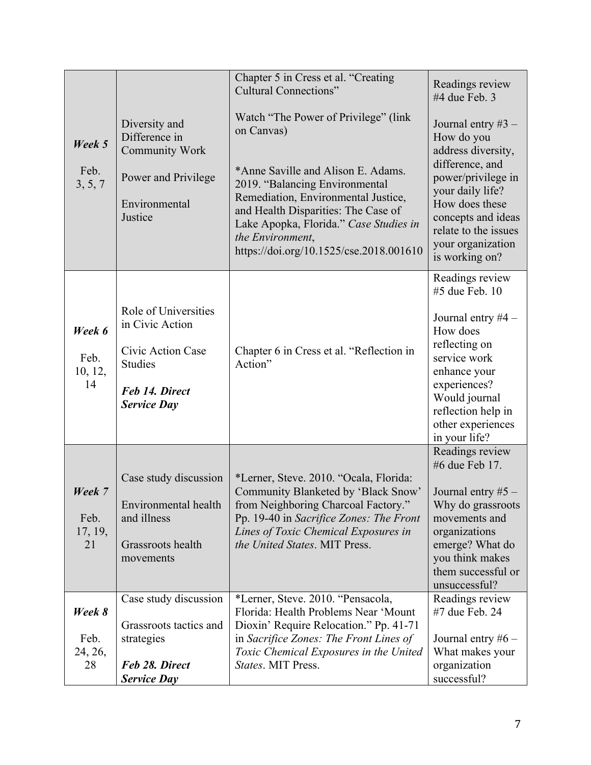|                                 |                                                                                                                        | Chapter 5 in Cress et al. "Creating<br><b>Cultural Connections"</b>                                                                                                                                                                                                                                               | Readings review<br>#4 due Feb. 3                                                                                                                                                                                             |
|---------------------------------|------------------------------------------------------------------------------------------------------------------------|-------------------------------------------------------------------------------------------------------------------------------------------------------------------------------------------------------------------------------------------------------------------------------------------------------------------|------------------------------------------------------------------------------------------------------------------------------------------------------------------------------------------------------------------------------|
| Week 5<br>Feb.<br>3, 5, 7       | Diversity and<br>Difference in<br><b>Community Work</b><br>Power and Privilege<br>Environmental<br>Justice             | Watch "The Power of Privilege" (link<br>on Canvas)<br>*Anne Saville and Alison E. Adams.<br>2019. "Balancing Environmental<br>Remediation, Environmental Justice,<br>and Health Disparities: The Case of<br>Lake Apopka, Florida." Case Studies in<br>the Environment,<br>https://doi.org/10.1525/cse.2018.001610 | Journal entry $#3 -$<br>How do you<br>address diversity,<br>difference, and<br>power/privilege in<br>your daily life?<br>How does these<br>concepts and ideas<br>relate to the issues<br>your organization<br>is working on? |
| Week 6<br>Feb.<br>10, 12,<br>14 | Role of Universities<br>in Civic Action<br>Civic Action Case<br><b>Studies</b><br>Feb 14. Direct<br><b>Service Day</b> | Chapter 6 in Cress et al. "Reflection in<br>Action"                                                                                                                                                                                                                                                               | Readings review<br>#5 due Feb. 10<br>Journal entry $#4 -$<br>How does<br>reflecting on<br>service work<br>enhance your<br>experiences?<br>Would journal<br>reflection help in<br>other experiences<br>in your life?          |
| Week 7<br>Feb.<br>17, 19,<br>21 | Case study discussion<br>Environmental health<br>and illness<br>Grassroots health<br>movements                         | *Lerner, Steve. 2010. "Ocala, Florida:<br>Community Blanketed by 'Black Snow'<br>from Neighboring Charcoal Factory."<br>Pp. 19-40 in Sacrifice Zones: The Front<br>Lines of Toxic Chemical Exposures in<br>the United States. MIT Press.                                                                          | Readings review<br>#6 due Feb 17.<br>Journal entry $#5 -$<br>Why do grassroots<br>movements and<br>organizations<br>emerge? What do<br>you think makes<br>them successful or<br>unsuccessful?                                |
| Week 8<br>Feb.<br>24, 26,<br>28 | Case study discussion<br>Grassroots tactics and<br>strategies<br>Feb 28. Direct<br><b>Service Day</b>                  | *Lerner, Steve. 2010. "Pensacola,<br>Florida: Health Problems Near 'Mount<br>Dioxin' Require Relocation." Pp. 41-71<br>in Sacrifice Zones: The Front Lines of<br>Toxic Chemical Exposures in the United<br>States. MIT Press.                                                                                     | Readings review<br>#7 due Feb. 24<br>Journal entry $#6 -$<br>What makes your<br>organization<br>successful?                                                                                                                  |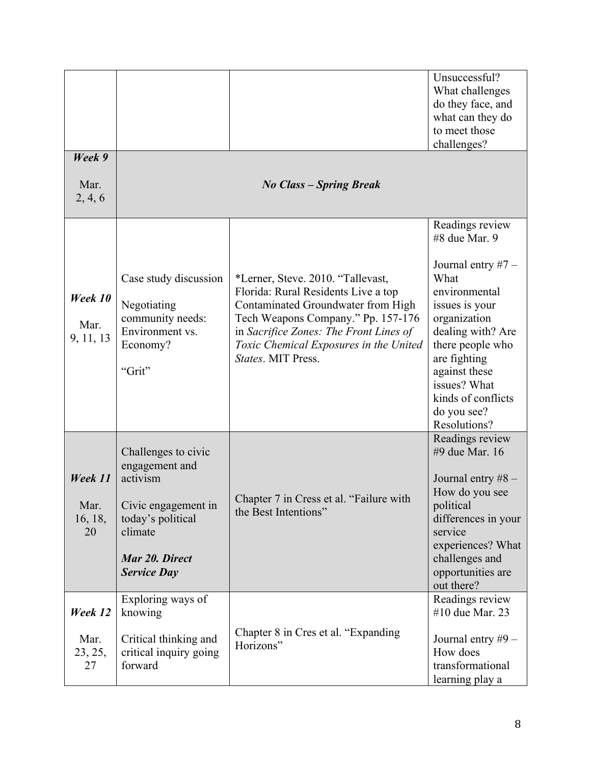| Week 9                           |                                                                                                                                                  |                                                                                                                                                                                                                                                                | Unsuccessful?<br>What challenges<br>do they face, and<br>what can they do<br>to meet those<br>challenges?                                                                                                                                                          |
|----------------------------------|--------------------------------------------------------------------------------------------------------------------------------------------------|----------------------------------------------------------------------------------------------------------------------------------------------------------------------------------------------------------------------------------------------------------------|--------------------------------------------------------------------------------------------------------------------------------------------------------------------------------------------------------------------------------------------------------------------|
| Mar.<br>2, 4, 6                  |                                                                                                                                                  | <b>No Class - Spring Break</b>                                                                                                                                                                                                                                 |                                                                                                                                                                                                                                                                    |
| Week 10<br>Mar.<br>9, 11, 13     | Case study discussion<br>Negotiating<br>community needs:<br>Environment vs.<br>Economy?<br>"Grit"                                                | *Lerner, Steve. 2010. "Tallevast,<br>Florida: Rural Residents Live a top<br>Contaminated Groundwater from High<br>Tech Weapons Company." Pp. 157-176<br>in Sacrifice Zones: The Front Lines of<br>Toxic Chemical Exposures in the United<br>States. MIT Press. | Readings review<br>#8 due Mar. 9<br>Journal entry $#7 -$<br>What<br>environmental<br>issues is your<br>organization<br>dealing with? Are<br>there people who<br>are fighting<br>against these<br>issues? What<br>kinds of conflicts<br>do you see?<br>Resolutions? |
| Week 11<br>Mar.<br>16, 18,<br>20 | Challenges to civic<br>engagement and<br>activism<br>Civic engagement in<br>today's political<br>climate<br>Mar 20. Direct<br><b>Service Day</b> | Chapter 7 in Cress et al. "Failure with<br>the Best Intentions"                                                                                                                                                                                                | Readings review<br>#9 due Mar. 16<br>Journal entry $#8 -$<br>How do you see<br>political<br>differences in your<br>service<br>experiences? What<br>challenges and<br>opportunities are<br>out there?                                                               |
| Week 12<br>Mar.<br>23, 25,<br>27 | Exploring ways of<br>knowing<br>Critical thinking and<br>critical inquiry going<br>forward                                                       | Chapter 8 in Cres et al. "Expanding<br>Horizons"                                                                                                                                                                                                               | Readings review<br>#10 due Mar. 23<br>Journal entry #9 -<br>How does<br>transformational<br>learning play a                                                                                                                                                        |